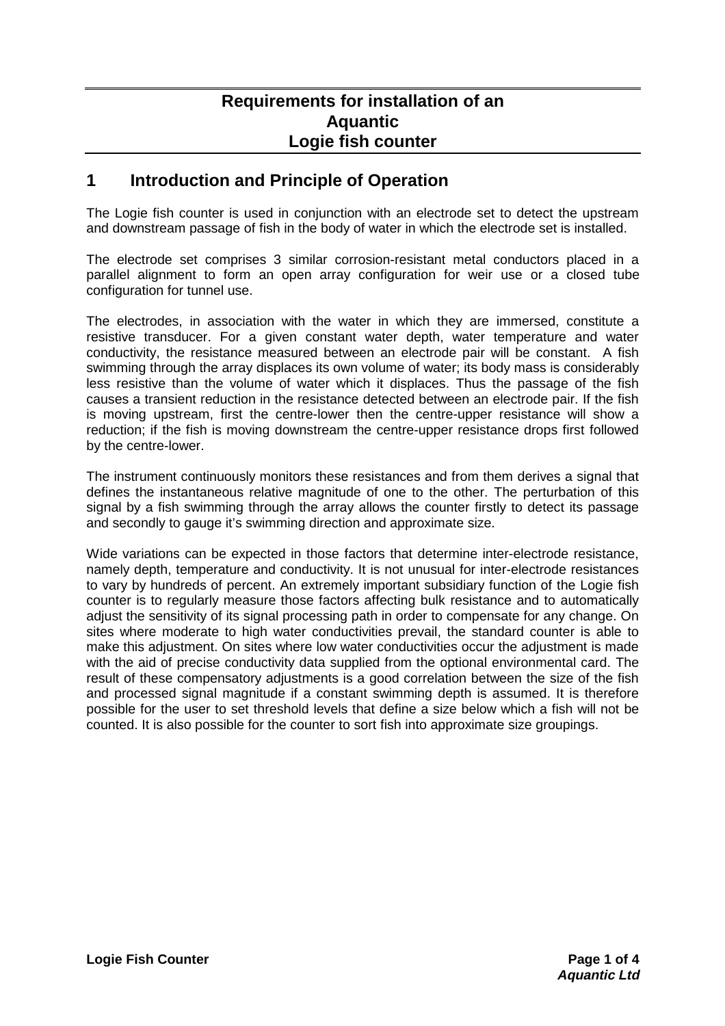## **Requirements for installation of an Aquantic Logie fish counter**

## **1 Introduction and Principle of Operation**

The Logie fish counter is used in conjunction with an electrode set to detect the upstream and downstream passage of fish in the body of water in which the electrode set is installed.

The electrode set comprises 3 similar corrosion-resistant metal conductors placed in a parallel alignment to form an open array configuration for weir use or a closed tube configuration for tunnel use.

The electrodes, in association with the water in which they are immersed, constitute a resistive transducer. For a given constant water depth, water temperature and water conductivity, the resistance measured between an electrode pair will be constant. A fish swimming through the array displaces its own volume of water; its body mass is considerably less resistive than the volume of water which it displaces. Thus the passage of the fish causes a transient reduction in the resistance detected between an electrode pair. If the fish is moving upstream, first the centre-lower then the centre-upper resistance will show a reduction; if the fish is moving downstream the centre-upper resistance drops first followed by the centre-lower.

The instrument continuously monitors these resistances and from them derives a signal that defines the instantaneous relative magnitude of one to the other. The perturbation of this signal by a fish swimming through the array allows the counter firstly to detect its passage and secondly to gauge it's swimming direction and approximate size.

Wide variations can be expected in those factors that determine inter-electrode resistance, namely depth, temperature and conductivity. It is not unusual for inter-electrode resistances to vary by hundreds of percent. An extremely important subsidiary function of the Logie fish counter is to regularly measure those factors affecting bulk resistance and to automatically adjust the sensitivity of its signal processing path in order to compensate for any change. On sites where moderate to high water conductivities prevail, the standard counter is able to make this adjustment. On sites where low water conductivities occur the adjustment is made with the aid of precise conductivity data supplied from the optional environmental card. The result of these compensatory adjustments is a good correlation between the size of the fish and processed signal magnitude if a constant swimming depth is assumed. It is therefore possible for the user to set threshold levels that define a size below which a fish will not be counted. It is also possible for the counter to sort fish into approximate size groupings.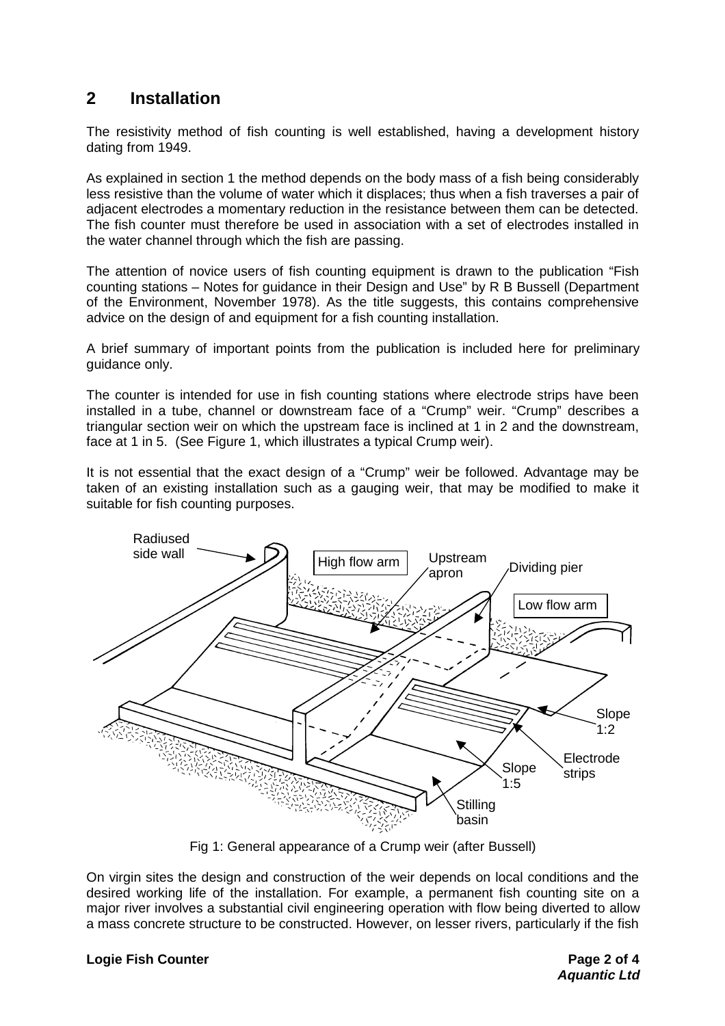## **2 Installation**

The resistivity method of fish counting is well established, having a development history dating from 1949.

As explained in section 1 the method depends on the body mass of a fish being considerably less resistive than the volume of water which it displaces; thus when a fish traverses a pair of adjacent electrodes a momentary reduction in the resistance between them can be detected. The fish counter must therefore be used in association with a set of electrodes installed in the water channel through which the fish are passing.

The attention of novice users of fish counting equipment is drawn to the publication "Fish counting stations – Notes for guidance in their Design and Use" by R B Bussell (Department of the Environment, November 1978). As the title suggests, this contains comprehensive advice on the design of and equipment for a fish counting installation.

A brief summary of important points from the publication is included here for preliminary guidance only.

The counter is intended for use in fish counting stations where electrode strips have been installed in a tube, channel or downstream face of a "Crump" weir. "Crump" describes a triangular section weir on which the upstream face is inclined at 1 in 2 and the downstream, face at 1 in 5. (See Figure 1, which illustrates a typical Crump weir).

It is not essential that the exact design of a "Crump" weir be followed. Advantage may be taken of an existing installation such as a gauging weir, that may be modified to make it suitable for fish counting purposes.



Fig 1: General appearance of a Crump weir (after Bussell)

On virgin sites the design and construction of the weir depends on local conditions and the desired working life of the installation. For example, a permanent fish counting site on a major river involves a substantial civil engineering operation with flow being diverted to allow a mass concrete structure to be constructed. However, on lesser rivers, particularly if the fish

## **Logie Fish Counter Counter According to the Page 2 of 4**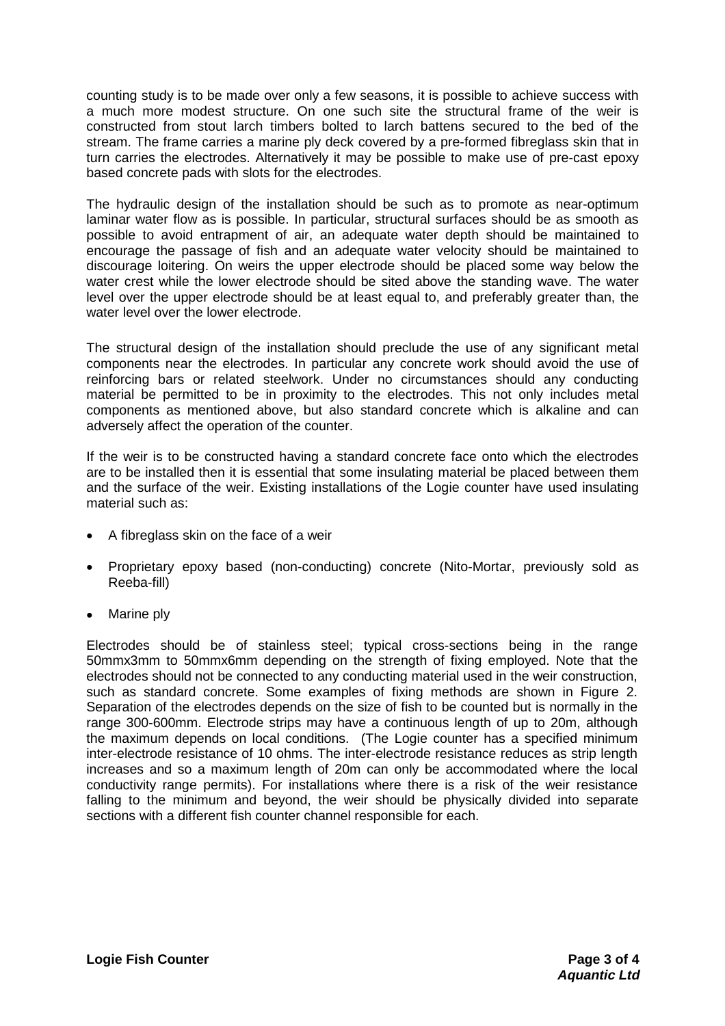counting study is to be made over only a few seasons, it is possible to achieve success with a much more modest structure. On one such site the structural frame of the weir is constructed from stout larch timbers bolted to larch battens secured to the bed of the stream. The frame carries a marine ply deck covered by a pre-formed fibreglass skin that in turn carries the electrodes. Alternatively it may be possible to make use of pre-cast epoxy based concrete pads with slots for the electrodes.

The hydraulic design of the installation should be such as to promote as near-optimum laminar water flow as is possible. In particular, structural surfaces should be as smooth as possible to avoid entrapment of air, an adequate water depth should be maintained to encourage the passage of fish and an adequate water velocity should be maintained to discourage loitering. On weirs the upper electrode should be placed some way below the water crest while the lower electrode should be sited above the standing wave. The water level over the upper electrode should be at least equal to, and preferably greater than, the water level over the lower electrode.

The structural design of the installation should preclude the use of any significant metal components near the electrodes. In particular any concrete work should avoid the use of reinforcing bars or related steelwork. Under no circumstances should any conducting material be permitted to be in proximity to the electrodes. This not only includes metal components as mentioned above, but also standard concrete which is alkaline and can adversely affect the operation of the counter.

If the weir is to be constructed having a standard concrete face onto which the electrodes are to be installed then it is essential that some insulating material be placed between them and the surface of the weir. Existing installations of the Logie counter have used insulating material such as:

- A fibreglass skin on the face of a weir
- Proprietary epoxy based (non-conducting) concrete (Nito-Mortar, previously sold as Reeba-fill)
- Marine plv

Electrodes should be of stainless steel; typical cross-sections being in the range 50mmx3mm to 50mmx6mm depending on the strength of fixing employed. Note that the electrodes should not be connected to any conducting material used in the weir construction, such as standard concrete. Some examples of fixing methods are shown in Figure 2. Separation of the electrodes depends on the size of fish to be counted but is normally in the range 300-600mm. Electrode strips may have a continuous length of up to 20m, although the maximum depends on local conditions. (The Logie counter has a specified minimum inter-electrode resistance of 10 ohms. The inter-electrode resistance reduces as strip length increases and so a maximum length of 20m can only be accommodated where the local conductivity range permits). For installations where there is a risk of the weir resistance falling to the minimum and beyond, the weir should be physically divided into separate sections with a different fish counter channel responsible for each.